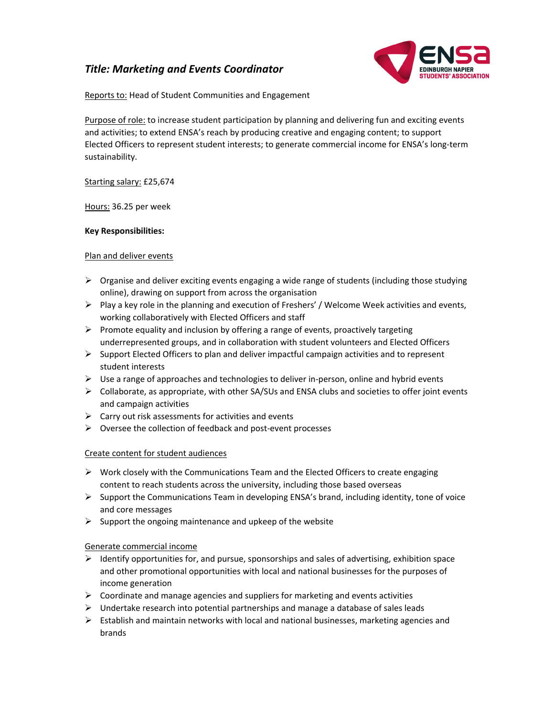# *Title: Marketing and Events Coordinator*



Reports to: Head of Student Communities and Engagement

Purpose of role: to increase student participation by planning and delivering fun and exciting events and activities; to extend ENSA's reach by producing creative and engaging content; to support Elected Officers to represent student interests; to generate commercial income for ENSA's long‐term sustainability.

Starting salary: £25,674

Hours: 36.25 per week

## **Key Responsibilities:**

## Plan and deliver events

- $\triangleright$  Organise and deliver exciting events engaging a wide range of students (including those studying online), drawing on support from across the organisation
- $\triangleright$  Play a key role in the planning and execution of Freshers' / Welcome Week activities and events, working collaboratively with Elected Officers and staff
- $\triangleright$  Promote equality and inclusion by offering a range of events, proactively targeting underrepresented groups, and in collaboration with student volunteers and Elected Officers
- $\triangleright$  Support Elected Officers to plan and deliver impactful campaign activities and to represent student interests
- $\triangleright$  Use a range of approaches and technologies to deliver in-person, online and hybrid events
- $\triangleright$  Collaborate, as appropriate, with other SA/SUs and ENSA clubs and societies to offer joint events and campaign activities
- $\triangleright$  Carry out risk assessments for activities and events
- Oversee the collection of feedback and post‐event processes

# Create content for student audiences

- $\triangleright$  Work closely with the Communications Team and the Elected Officers to create engaging content to reach students across the university, including those based overseas
- $\triangleright$  Support the Communications Team in developing ENSA's brand, including identity, tone of voice and core messages
- $\triangleright$  Support the ongoing maintenance and upkeep of the website

# Generate commercial income

- $\triangleright$  Identify opportunities for, and pursue, sponsorships and sales of advertising, exhibition space and other promotional opportunities with local and national businesses for the purposes of income generation
- $\triangleright$  Coordinate and manage agencies and suppliers for marketing and events activities
- $\triangleright$  Undertake research into potential partnerships and manage a database of sales leads
- $\triangleright$  Establish and maintain networks with local and national businesses, marketing agencies and brands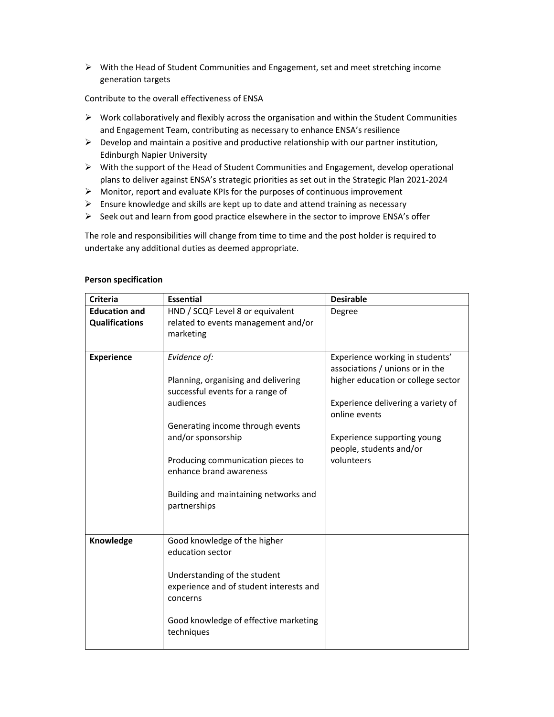$\triangleright$  With the Head of Student Communities and Engagement, set and meet stretching income generation targets

#### Contribute to the overall effectiveness of ENSA

- $\triangleright$  Work collaboratively and flexibly across the organisation and within the Student Communities and Engagement Team, contributing as necessary to enhance ENSA's resilience
- $\triangleright$  Develop and maintain a positive and productive relationship with our partner institution, Edinburgh Napier University
- With the support of the Head of Student Communities and Engagement, develop operational plans to deliver against ENSA's strategic priorities as set out in the Strategic Plan 2021‐2024
- $\triangleright$  Monitor, report and evaluate KPIs for the purposes of continuous improvement
- $\triangleright$  Ensure knowledge and skills are kept up to date and attend training as necessary
- $\triangleright$  Seek out and learn from good practice elsewhere in the sector to improve ENSA's offer

The role and responsibilities will change from time to time and the post holder is required to undertake any additional duties as deemed appropriate.

| <b>Criteria</b>       | <b>Essential</b>                                                                    | <b>Desirable</b>                                                   |
|-----------------------|-------------------------------------------------------------------------------------|--------------------------------------------------------------------|
| <b>Education and</b>  | HND / SCQF Level 8 or equivalent                                                    | Degree                                                             |
| <b>Qualifications</b> | related to events management and/or                                                 |                                                                    |
|                       | marketing                                                                           |                                                                    |
| <b>Experience</b>     | Evidence of:                                                                        | Experience working in students'<br>associations / unions or in the |
|                       | Planning, organising and delivering<br>successful events for a range of             | higher education or college sector                                 |
|                       | audiences                                                                           | Experience delivering a variety of<br>online events                |
|                       | Generating income through events                                                    |                                                                    |
|                       | and/or sponsorship                                                                  | Experience supporting young<br>people, students and/or             |
|                       | Producing communication pieces to                                                   | volunteers                                                         |
|                       | enhance brand awareness                                                             |                                                                    |
|                       |                                                                                     |                                                                    |
|                       | Building and maintaining networks and<br>partnerships                               |                                                                    |
|                       |                                                                                     |                                                                    |
|                       |                                                                                     |                                                                    |
| Knowledge             | Good knowledge of the higher<br>education sector                                    |                                                                    |
|                       | Understanding of the student<br>experience and of student interests and<br>concerns |                                                                    |
|                       | Good knowledge of effective marketing<br>techniques                                 |                                                                    |

#### **Person specification**